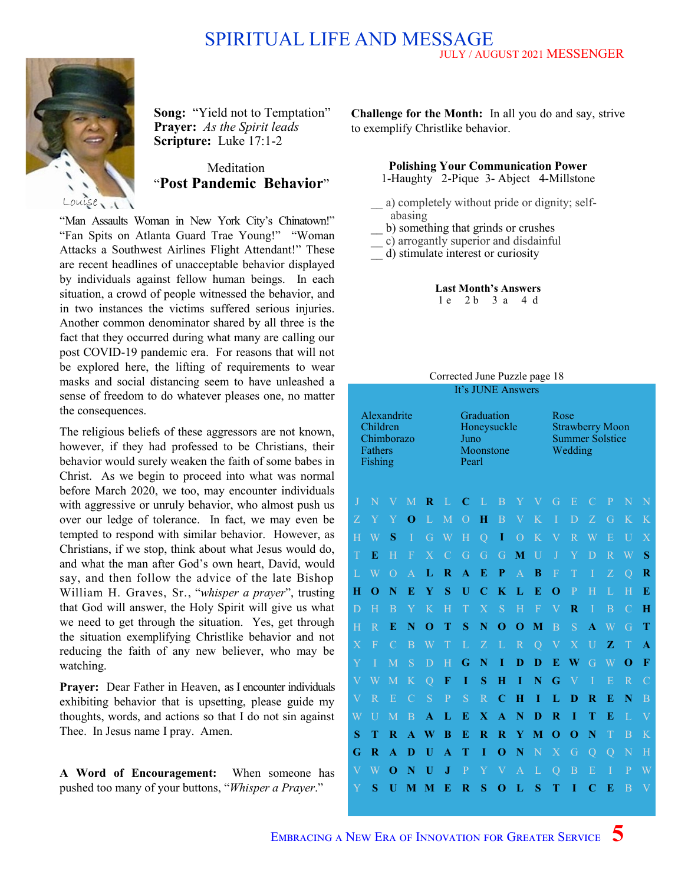### JULY / AUGUST 2021 MESSENGER SPIRITUAL LIFE AND MESSAGE



**Song:** "Yield not to Temptation" **Prayer:** *As the Spirit leads* **Scripture:** Luke 17:1-2

## Meditation "**Post Pandemic Behavior**"

"Man Assaults Woman in New York City's Chinatown!" "Fan Spits on Atlanta Guard Trae Young!" "Woman Attacks a Southwest Airlines Flight Attendant!" These are recent headlines of unacceptable behavior displayed by individuals against fellow human beings. In each situation, a crowd of people witnessed the behavior, and in two instances the victims suffered serious injuries. Another common denominator shared by all three is the fact that they occurred during what many are calling our post COVID-19 pandemic era. For reasons that will not be explored here, the lifting of requirements to wear masks and social distancing seem to have unleashed a sense of freedom to do whatever pleases one, no matter the consequences.

The religious beliefs of these aggressors are not known, however, if they had professed to be Christians, their behavior would surely weaken the faith of some babes in Christ. As we begin to proceed into what was normal before March 2020, we too, may encounter individuals with aggressive or unruly behavior, who almost push us over our ledge of tolerance. In fact, we may even be tempted to respond with similar behavior. However, as Christians, if we stop, think about what Jesus would do, and what the man after God's own heart, David, would say, and then follow the advice of the late Bishop William H. Graves, Sr., "*whisper a prayer*", trusting that God will answer, the Holy Spirit will give us what we need to get through the situation. Yes, get through the situation exemplifying Christlike behavior and not reducing the faith of any new believer, who may be watching.

**Prayer:** Dear Father in Heaven, as I encounter individuals exhibiting behavior that is upsetting, please guide my thoughts, words, and actions so that I do not sin against Thee. In Jesus name I pray. Amen.

**A Word of Encouragement:** When someone has pushed too many of your buttons, "*Whisper a Prayer*."

**Challenge for the Month:** In all you do and say, strive to exemplify Christlike behavior.

**Polishing Your Communication Power**

1-Haughty 2-Pique 3- Abject 4-Millstone

- a) completely without pride or dignity; selfabasing
- \_\_ b) something that grinds or crushes
- \_\_ c) arrogantly superior and disdainful
- \_\_ d) stimulate interest or curiosity

#### **Last Month's Answers** 1 e 2 b 3 a 4 d

#### Corrected June Puzzle page 18 It's JUNE Answers

| Alexandrite<br>Children<br>Chimborazo<br><b>Fathers</b><br>Fishing |                         |                         |                         |                         |                         | Graduation<br>Honeysuckle<br>Juno<br>Moonstone<br>Pearl |                         |                           |                           |                | Rose<br><b>Strawberry Moon</b><br><b>Summer Solstice</b><br>Wedding |                         |                         |                         |                         |                         |  |
|--------------------------------------------------------------------|-------------------------|-------------------------|-------------------------|-------------------------|-------------------------|---------------------------------------------------------|-------------------------|---------------------------|---------------------------|----------------|---------------------------------------------------------------------|-------------------------|-------------------------|-------------------------|-------------------------|-------------------------|--|
| J                                                                  | N                       |                         | M                       | R                       | L                       | C                                                       | L                       | $\overline{B}$            | Y                         |                | G                                                                   | E                       | C                       | $\overline{P}$          | N                       | N                       |  |
| Ζ                                                                  | Y                       | Y                       | O                       | L                       | M                       | $\overline{O}$                                          | Н                       | $\overline{B}$            | $\boldsymbol{\mathrm{V}}$ | K              | I                                                                   | D                       | Z                       | G                       | K                       | K                       |  |
| H                                                                  | Ŵ                       | S                       | I                       | G                       | W                       | H                                                       | $\overline{Q}$          | I                         | $\overline{O}$            | K              | $\rm V$                                                             | $\overline{\mathrm{R}}$ | W                       | Ε                       | U                       | $\overline{\text{X}}$   |  |
| T                                                                  | E                       | Η                       | F                       | $\overline{X}$          | $\mathcal{C}$           | G                                                       | G                       | G                         | M                         | U              | $\mathbf{J}$                                                        | Y                       | D                       | $\overline{\mathsf{R}}$ | W                       | S                       |  |
| L                                                                  | Ŵ                       | $\overline{O}$          | $\overline{\mathsf{A}}$ | L                       | $\overline{\mathbf{R}}$ | A                                                       | E                       | P                         | $\overline{A}$            | B              | $\overline{F}$                                                      | T                       | I                       | Z                       | $\overline{Q}$          | R                       |  |
| Ħ                                                                  | O                       | Ñ                       | E                       | Y                       | S                       | Ū                                                       | C                       | K                         | L                         | E              | O                                                                   | P                       | $\overline{\mathrm{H}}$ | L                       | $\overline{\mathrm{H}}$ | E                       |  |
| D                                                                  | Ħ                       | B                       | Y                       | K                       | Η                       | T                                                       | $\overline{X}$          | S                         | H                         | $\overline{F}$ | V                                                                   | $\overline{\mathbf{R}}$ | T                       | $\overline{B}$          | $\mathcal{C}$           | Н                       |  |
| H                                                                  | $\overline{R}$          | E                       | N                       | $\Omega$                | T                       | S                                                       | N                       | O                         | O                         | M              | $\overline{B}$                                                      | S                       | A                       | W                       | G                       | Ŧ                       |  |
| $\boldsymbol{\mathrm{X}}$                                          | $\overline{F}$          | $\mathcal{C}$           | B                       | W                       | T                       | L                                                       | Z                       | L                         | $\overline{R}$            | $\overline{Q}$ | $\bar{\mathrm{V}}$                                                  | $\overline{\text{X}}$   | U                       | $\mathbf{Z}$            | T                       | A                       |  |
| Y                                                                  | T                       | M                       | S                       | D                       | H                       | G                                                       | N                       | Ī                         | D                         | D              | E                                                                   | W                       | G                       | W                       | O                       | F                       |  |
| $\overline{\mathbf{V}}$                                            | Ŵ                       | M                       | K                       | $\overline{Q}$          | F                       | Ī                                                       | S                       | Н                         | T                         | N              | G                                                                   | $\rm{V}$                | Ī                       | Ē                       | $\overline{R}$          | $\overline{C}$          |  |
| $\overline{\text{V}}$                                              | $\overline{R}$          | E                       | $\mathcal{C}$           | S                       | $\overline{\mathrm{P}}$ | S                                                       | $\overline{\mathrm{R}}$ | $\overline{\mathbf{C}}$   | $\bf H$                   | I              | L                                                                   | D                       | $\mathbf R$             | E                       | N                       | B                       |  |
| W                                                                  | $\overline{U}$          | M                       | $\overline{B}$          | A                       | L                       | E                                                       | $\mathbf X$             | A                         | N                         | D              | $\overline{\mathbf{R}}$                                             | Ī                       | T                       | E                       | L                       | $\overline{\mathsf{V}}$ |  |
| S                                                                  | T                       | $\overline{\mathbf{R}}$ | $\blacktriangle$        | $\overline{\textbf{W}}$ | B                       | E                                                       | $\bf R$                 | R                         | Y                         | M              | O                                                                   | O                       | N                       | T                       | $\overline{B}$          | K                       |  |
| G                                                                  | $\overline{\mathbf{R}}$ | A                       | D                       | $\overline{\mathbf{U}}$ | A                       | T                                                       | I                       | O                         | N                         | N              | $\overline{\text{X}}$                                               | G                       | $\overline{Q}$          | $\overline{Q}$          | $\overline{\text{N}}$   | H                       |  |
| $\overline{\mathbf{V}}$                                            | W                       | O                       | N                       | Ū                       | $\bf J$                 | $\mathbf{P}$                                            | Y                       | $\boldsymbol{\mathrm{V}}$ | $\overline{A}$            | L              | $\overline{Q}$                                                      | $\overline{B}$          | E                       | $\overline{I}$          | $\overline{P}$          | W                       |  |
| Y                                                                  | S                       | Ū                       | M                       | M                       | E                       | $\overline{\mathbf{R}}$                                 | S                       | O                         | L                         | S              | т                                                                   | T                       | $\mathbf C$             | E                       | $\overline{B}$          | $\overline{\mathbf{V}}$ |  |